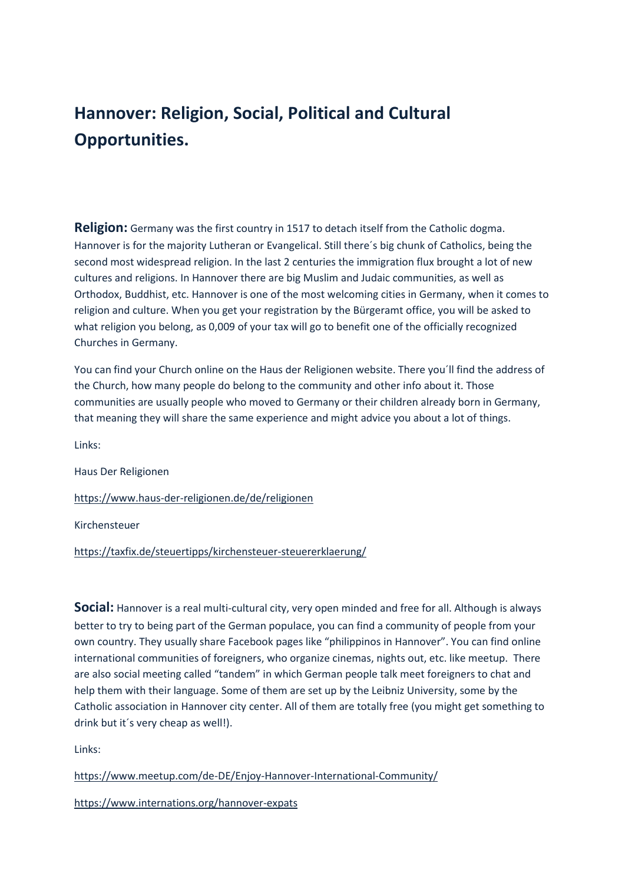## **Hannover: Religion, Social, Political and Cultural Opportunities.**

**Religion:** Germany was the first country in 1517 to detach itself from the Catholic dogma. Hannover is for the majority Lutheran or Evangelical. Still there´s big chunk of Catholics, being the second most widespread religion. In the last 2 centuries the immigration flux brought a lot of new cultures and religions. In Hannover there are big Muslim and Judaic communities, as well as Orthodox, Buddhist, etc. Hannover is one of the most welcoming cities in Germany, when it comes to religion and culture. When you get your registration by the Bürgeramt office, you will be asked to what religion you belong, as 0,009 of your tax will go to benefit one of the officially recognized Churches in Germany.

You can find your Church online on the Haus der Religionen website. There you´ll find the address of the Church, how many people do belong to the community and other info about it. Those communities are usually people who moved to Germany or their children already born in Germany, that meaning they will share the same experience and might advice you about a lot of things.

Links:

Haus Der Religionen

<https://www.haus-der-religionen.de/de/religionen>

Kirchensteuer

<https://taxfix.de/steuertipps/kirchensteuer-steuererklaerung/>

**Social:** Hannover is a real multi-cultural city, very open minded and free for all. Although is always better to try to being part of the German populace, you can find a community of people from your own country. They usually share Facebook pages like "philippinos in Hannover". You can find online international communities of foreigners, who organize cinemas, nights out, etc. like meetup. There are also social meeting called "tandem" in which German people talk meet foreigners to chat and help them with their language. Some of them are set up by the Leibniz University, some by the Catholic association in Hannover city center. All of them are totally free (you might get something to drink but it´s very cheap as well!).

Links:

<https://www.meetup.com/de-DE/Enjoy-Hannover-International-Community/>

<https://www.internations.org/hannover-expats>